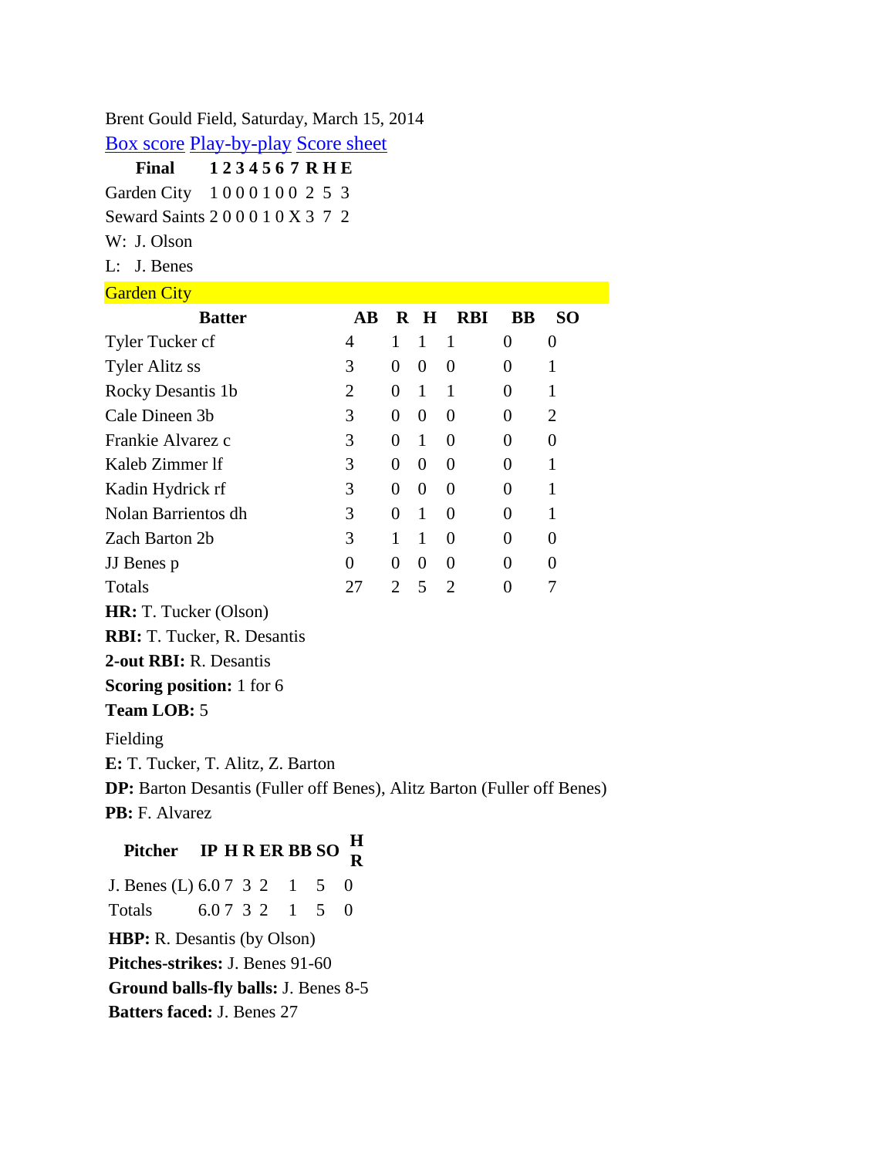Brent Gould Field, Saturday, March 15, 2014

[Box score](file:///C:/Users/Michael%20Pilosof/Documents/2014%20Baseball/Vs.%20Seward%20County/GCCCatSEW_03_15_2014_1303.htm) [Play-by-play](file:///C:/Users/Michael%20Pilosof/Documents/2014%20Baseball/Vs.%20Seward%20County/GCCCatSEW_03_15_2014_1303_PBP.htm) [Score sheet](file:///C:/Users/Michael%20Pilosof/Documents/2014%20Baseball/Vs.%20Seward%20County/GCCCatSEW_03_15_2014_1303_SS.htm)

**Final 1 2 3 4 5 6 7 R H E** Garden City 1 0 0 0 1 0 0 2 5 3 Seward Saints 2 0 0 0 1 0 X 3 7 2

W: J. Olson

L: J. Benes

Garden City **Garden** 

| <b>Batter</b>                                                           | $\mathbf{A}\mathbf{B}$ |                  | $R$ H            | <b>RBI</b>     | <b>BB</b>      | SO <sub>1</sub>  |  |  |
|-------------------------------------------------------------------------|------------------------|------------------|------------------|----------------|----------------|------------------|--|--|
| Tyler Tucker cf                                                         | 4                      | 1                | $\mathbf{1}$     | 1              | $\overline{0}$ | $\boldsymbol{0}$ |  |  |
| <b>Tyler Alitz ss</b>                                                   | 3                      | $\overline{0}$   | $\boldsymbol{0}$ | $\overline{0}$ | 0              | $\mathbf{1}$     |  |  |
| Rocky Desantis 1b                                                       | $\overline{2}$         | 0                | $\mathbf{1}$     | 1              | 0              | 1                |  |  |
| Cale Dineen 3b                                                          | 3                      | 0                | $\boldsymbol{0}$ | 0              | 0              | $\overline{2}$   |  |  |
| Frankie Alvarez c                                                       | 3                      | 0                | $\mathbf{1}$     | $\overline{0}$ | $\theta$       | 0                |  |  |
| Kaleb Zimmer If                                                         | 3                      | $\overline{0}$   | $\overline{0}$   | $\theta$       | 0              | $\mathbf{1}$     |  |  |
| Kadin Hydrick rf                                                        | 3                      | 0                | $\theta$         | $\overline{0}$ | $\Omega$       | 1                |  |  |
| Nolan Barrientos dh                                                     | 3                      | 0                | $\mathbf{1}$     | 0              | 0              | 1                |  |  |
| Zach Barton 2b                                                          | 3                      | 1                | 1                | $\overline{0}$ | $\Omega$       | 0                |  |  |
| JJ Benes p                                                              | $\overline{0}$         | $\boldsymbol{0}$ | $\overline{0}$   | $\overline{0}$ | $\Omega$       | $\overline{0}$   |  |  |
| Totals                                                                  | 27                     | $\overline{2}$   | 5                | $\overline{2}$ | $\overline{0}$ | 7                |  |  |
| HR: T. Tucker (Olson)                                                   |                        |                  |                  |                |                |                  |  |  |
| <b>RBI:</b> T. Tucker, R. Desantis                                      |                        |                  |                  |                |                |                  |  |  |
| 2-out RBI: R. Desantis                                                  |                        |                  |                  |                |                |                  |  |  |
| <b>Scoring position:</b> 1 for 6                                        |                        |                  |                  |                |                |                  |  |  |
| <b>Team LOB: 5</b>                                                      |                        |                  |                  |                |                |                  |  |  |
| Fielding                                                                |                        |                  |                  |                |                |                  |  |  |
| E: T. Tucker, T. Alitz, Z. Barton                                       |                        |                  |                  |                |                |                  |  |  |
| DP: Barton Desantis (Fuller off Benes), Alitz Barton (Fuller off Benes) |                        |                  |                  |                |                |                  |  |  |
| PB: F. Alvarez                                                          |                        |                  |                  |                |                |                  |  |  |
| Н<br><b>IP H R ER BB SO</b><br><b>Pitcher</b><br>R                      |                        |                  |                  |                |                |                  |  |  |

J. Benes (L) 6.0 7 3 2 1 5 0 Totals 6.0 7 3 2 1 5 0 **HBP:** R. Desantis (by Olson) **Pitches-strikes:** J. Benes 91-60 **Ground balls-fly balls:** J. Benes 8-5 **Batters faced:** J. Benes 27